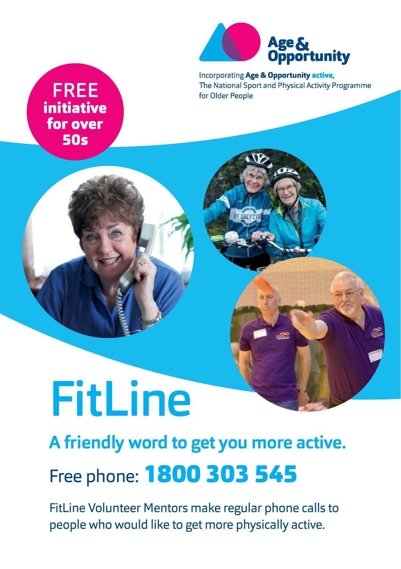

Incorporating Age & Opportunity active, The National Sport and Physical Activity Programme for Older People

## FREE initiative for over 50s



## **A friendly word to get you more active.**

# Free phone: 1800 303 545

FitLine Volunteer Mentors make regular phone calls to people who would like to get more physically active.